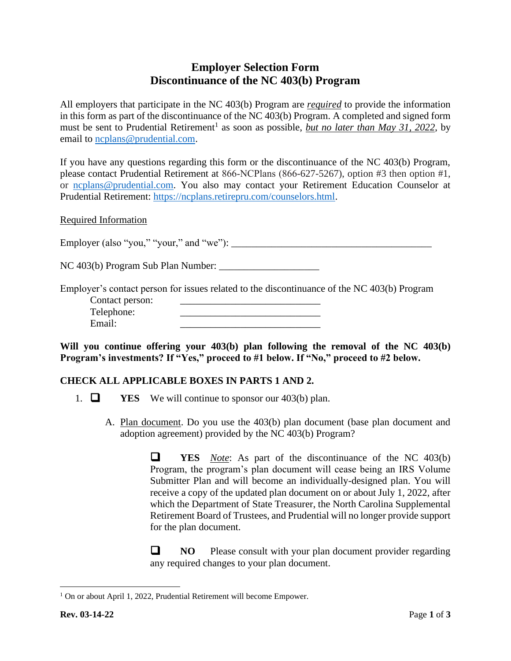## **Employer Selection Form Discontinuance of the NC 403(b) Program**

All employers that participate in the NC 403(b) Program are *required* to provide the information in this form as part of the discontinuance of the NC 403(b) Program. A completed and signed form must be sent to Prudential Retirement<sup>1</sup> as soon as possible, *but no later than May 31, 2022*, by email to [ncplans@prudential.com.](mailto:ncplans@prudential.com)

If you have any questions regarding this form or the discontinuance of the NC 403(b) Program, please contact Prudential Retirement at 866‑NCPlans (866-627-5267), option #3 then option #1, or [ncplans@prudential.com.](mailto:ncplans@prudential.com) You also may contact your Retirement Education Counselor at Prudential Retirement: [https://ncplans.retirepru.com/counselors.html.](https://ncplans.retirepru.com/counselors.html)

Required Information

Employer (also "you," "your," and "we"): \_\_\_\_\_\_\_\_\_\_\_\_\_\_\_\_\_\_\_\_\_\_\_\_\_\_\_\_\_\_\_\_\_\_\_\_\_\_\_\_

NC 403(b) Program Sub Plan Number: \_\_\_\_\_\_\_\_\_\_\_\_\_\_\_\_\_\_\_\_

Employer's contact person for issues related to the discontinuance of the NC 403(b) Program Contact person:

| Telephone: |  |
|------------|--|
| Email:     |  |
|            |  |

**Will you continue offering your 403(b) plan following the removal of the NC 403(b) Program's investments? If "Yes," proceed to #1 below. If "No," proceed to #2 below.**

## **CHECK ALL APPLICABLE BOXES IN PARTS 1 AND 2.**

- 1. ❑ **YES** We will continue to sponsor our 403(b) plan.
	- A. Plan document. Do you use the 403(b) plan document (base plan document and adoption agreement) provided by the NC 403(b) Program?

❑ **YES** *Note*: As part of the discontinuance of the NC 403(b) Program, the program's plan document will cease being an IRS Volume Submitter Plan and will become an individually-designed plan. You will receive a copy of the updated plan document on or about July 1, 2022, after which the Department of State Treasurer, the North Carolina Supplemental Retirement Board of Trustees, and Prudential will no longer provide support for the plan document.

❑ **NO** Please consult with your plan document provider regarding any required changes to your plan document.

<sup>&</sup>lt;sup>1</sup> On or about April 1, 2022, Prudential Retirement will become Empower.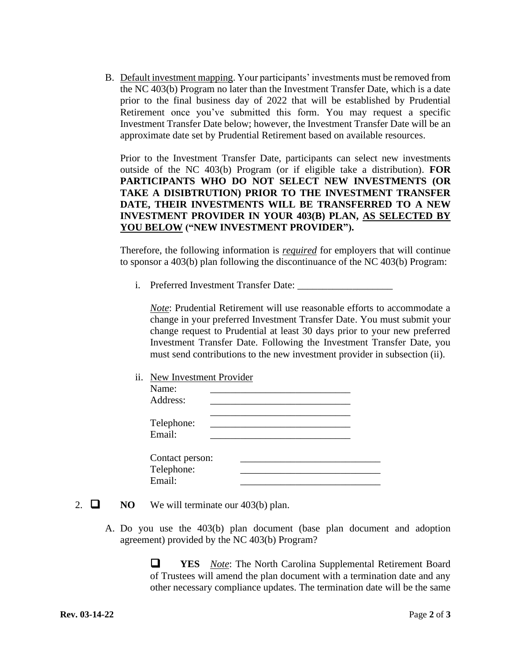B. Default investment mapping. Your participants' investments must be removed from the NC 403(b) Program no later than the Investment Transfer Date, which is a date prior to the final business day of 2022 that will be established by Prudential Retirement once you've submitted this form. You may request a specific Investment Transfer Date below; however, the Investment Transfer Date will be an approximate date set by Prudential Retirement based on available resources.

Prior to the Investment Transfer Date, participants can select new investments outside of the NC 403(b) Program (or if eligible take a distribution). **FOR PARTICIPANTS WHO DO NOT SELECT NEW INVESTMENTS (OR TAKE A DISIBTRUTION) PRIOR TO THE INVESTMENT TRANSFER DATE, THEIR INVESTMENTS WILL BE TRANSFERRED TO A NEW INVESTMENT PROVIDER IN YOUR 403(B) PLAN, AS SELECTED BY YOU BELOW ("NEW INVESTMENT PROVIDER").**

Therefore, the following information is *required* for employers that will continue to sponsor a 403(b) plan following the discontinuance of the NC 403(b) Program:

i. Preferred Investment Transfer Date: \_\_\_\_\_\_\_\_\_\_\_\_\_\_\_\_\_\_\_

*Note*: Prudential Retirement will use reasonable efforts to accommodate a change in your preferred Investment Transfer Date. You must submit your change request to Prudential at least 30 days prior to your new preferred Investment Transfer Date. Following the Investment Transfer Date, you must send contributions to the new investment provider in subsection (ii).

ii. New Investment Provider

| Name:<br>Address:             |  |
|-------------------------------|--|
| Telephone:<br>Email:          |  |
| Contact person:<br>Telephone: |  |
| Email:                        |  |

- 2.  $\Box$  **NO** We will terminate our 403(b) plan.
	- A. Do you use the 403(b) plan document (base plan document and adoption agreement) provided by the NC 403(b) Program?

❑ **YES** *Note*: The North Carolina Supplemental Retirement Board of Trustees will amend the plan document with a termination date and any other necessary compliance updates. The termination date will be the same